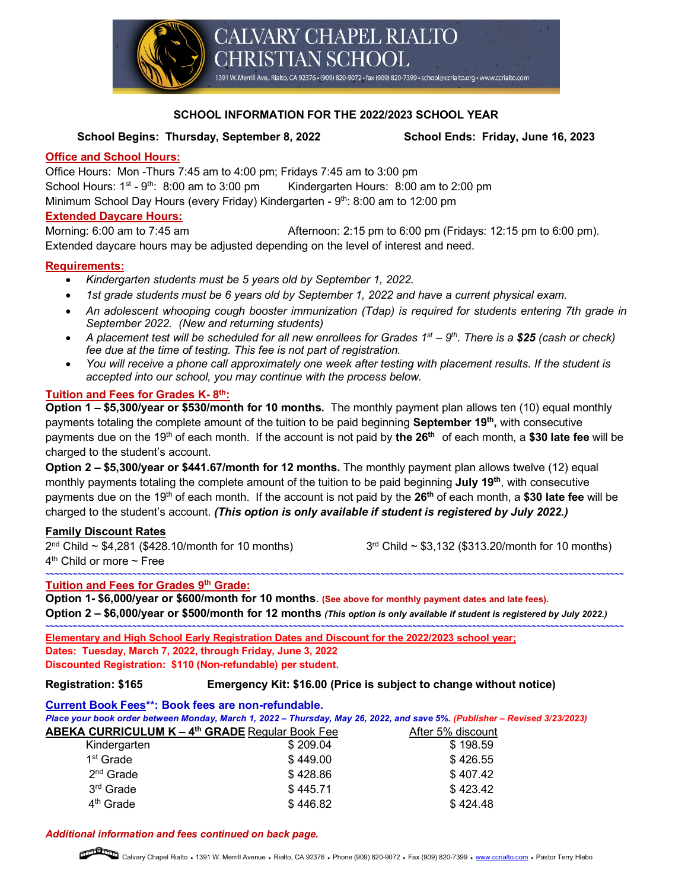

# **SCHOOL INFORMATION FOR THE 2022/2023 SCHOOL YEAR**

### **School Begins: Thursday, September 8, 2022 School Ends: Friday, June 16, 2023**

#### **Office and School Hours:**

Office Hours: Mon -Thurs 7:45 am to 4:00 pm; Fridays 7:45 am to 3:00 pm School Hours:  $1<sup>st</sup> - 9<sup>th</sup>$ : 8:00 am to 3:00 pm Kindergarten Hours: 8:00 am to 2:00 pm Minimum School Day Hours (every Friday) Kindergarten - 9<sup>th</sup>: 8:00 am to 12:00 pm

#### **Extended Daycare Hours:**

Morning: 6:00 am to 7:45 am Afternoon: 2:15 pm to 6:00 pm (Fridays: 12:15 pm to 6:00 pm). Extended daycare hours may be adjusted depending on the level of interest and need.

### **Requirements:**

- *Kindergarten students must be 5 years old by September 1, 2022.*
- *1st grade students must be 6 years old by September 1, 2022 and have a current physical exam.*
- *An adolescent whooping cough booster immunization (Tdap) is required for students entering 7th grade in September 2022. (New and returning students)*
- *A placement test will be scheduled for all new enrollees for Grades 1st – 9th. There is a \$25 (cash or check) fee due at the time of testing. This fee is not part of registration.*
- *You will receive a phone call approximately one week after testing with placement results. If the student is accepted into our school, you may continue with the process below.*

### **Tuition and Fees for Grades K- 8th:**

**Option 1 – \$5,300/year or \$530/month for 10 months.** The monthly payment plan allows ten (10) equal monthly payments totaling the complete amount of the tuition to be paid beginning **September 19th,** with consecutive payments due on the 19th of each month. If the account is not paid by **the 26th** of each month, a **\$30 late fee** will be charged to the student's account.

**Option 2 – \$5,300/year or \$441.67/month for 12 months.** The monthly payment plan allows twelve (12) equal monthly payments totaling the complete amount of the tuition to be paid beginning **July 19th**, with consecutive payments due on the 19th of each month. If the account is not paid by the **26th** of each month, a **\$30 late fee** will be charged to the student's account. *(This option is only available if student is registered by July 2022.)*

### **Family Discount Rates**

 $2^{nd}$  Child ~ \$4,281 (\$428.10/month for 10 months)  $3^{rd}$  Child ~ \$3,132 (\$313.20/month for 10 months)

 $4<sup>th</sup>$  Child or more  $\sim$  Free

# **Tuition and Fees for Grades 9th Grade:**

**Option 1- \$6,000/year or \$600/month for 10 months**. **(See above for monthly payment dates and late fees). Option 2 – \$6,000/year or \$500/month for 12 months** *(This option is only available if student is registered by July 2022.)*

**~~~~~~~~~~~~~~~~~~~~~~~~~~~~~~~~~~~~~~~~~~~~~~~~~~~~~~~~~~~~~~~~~~~~~~~~~~~~~~~~~~~~~~~~~~~~~~~~~~~~~~~~~~~~~~~~~~~~~~~~~~~~~~**

**~~~~~~~~~~~~~~~~~~~~~~~~~~~~~~~~~~~~~~~~~~~~~~~~~~~~~~~~~~~~~~~~~~~~~~~~~~~~~~~~~~~~~~~~~~~~~~~~~~~~~~~~~~~~~~~~~~~~~~~~~~~~~~ Elementary and High School Early Registration Dates and Discount for the 2022/2023 school year; Dates: Tuesday, March 7, 2022, through Friday, June 3, 2022**

**Discounted Registration: \$110 (Non-refundable) per student.** 

#### **Registration: \$165 Emergency Kit: \$16.00 (Price is subject to change without notice)**

**Current Book Fees\*\*: Book fees are non-refundable.**

*Place your book order between Monday, March 1, 2022 – Thursday, May 26, 2022, and save 5%. (Publisher – Revised 3/23/2023)*

| <b>ABEKA CURRICULUM K – 4<sup>th</sup> GRADE</b> Regular Book Fee |          | After 5% discount |
|-------------------------------------------------------------------|----------|-------------------|
| Kindergarten                                                      | \$209.04 | \$198.59          |
| 1 <sup>st</sup> Grade                                             | \$449.00 | \$426.55          |
| $2nd$ Grade                                                       | \$428.86 | \$407.42          |
| 3 <sup>rd</sup> Grade                                             | \$445.71 | \$423.42          |
| 4 <sup>th</sup> Grade                                             | \$446.82 | \$424.48          |

#### *Additional information and fees continued on back page.*